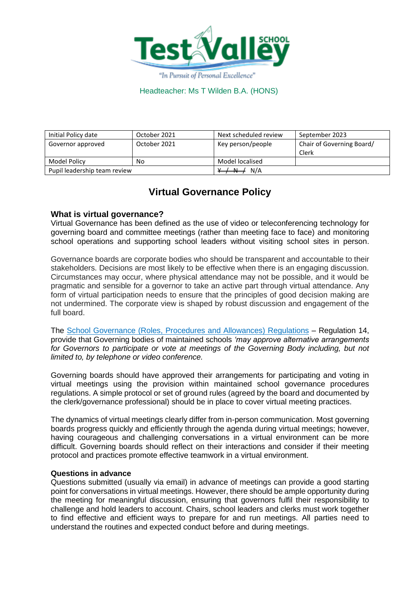

| Initial Policy date          | October 2021 | Next scheduled review | September 2023                     |
|------------------------------|--------------|-----------------------|------------------------------------|
| Governor approved            | October 2021 | Key person/people     | Chair of Governing Board/<br>Clerk |
| Model Policy                 | No           | Model localised       |                                    |
| Pupil leadership team review |              | N/A<br>$+ + +$        |                                    |

# **Virtual Governance Policy**

### **What is virtual governance?**

Virtual Governance has been defined as the use of video or teleconferencing technology for governing board and committee meetings (rather than meeting face to face) and monitoring school operations and supporting school leaders without visiting school sites in person.

Governance boards are corporate bodies who should be transparent and accountable to their stakeholders. Decisions are most likely to be effective when there is an engaging discussion. Circumstances may occur, where physical attendance may not be possible, and it would be pragmatic and sensible for a governor to take an active part through virtual attendance. Any form of virtual participation needs to ensure that the principles of good decision making are not undermined. The corporate view is shaped by robust discussion and engagement of the full board.

The [School Governance \(Roles, Procedures and Allowances\) Regulations](http://www.legislation.gov.uk/uksi/2013/1624/contents/made) – Regulation 14, provide that Governing bodies of maintained schools *'may approve alternative arrangements*  for Governors to participate or vote at meetings of the Governing Body including, but not *limited to, by telephone or video conference.*

Governing boards should have approved their arrangements for participating and voting in virtual meetings using the provision within maintained school governance procedures regulations. A simple protocol or set of ground rules (agreed by the board and documented by the clerk/governance professional) should be in place to cover virtual meeting practices.

The dynamics of virtual meetings clearly differ from in-person communication. Most governing boards progress quickly and efficiently through the agenda during virtual meetings; however, having courageous and challenging conversations in a virtual environment can be more difficult. Governing boards should reflect on their interactions and consider if their meeting protocol and practices promote effective teamwork in a virtual environment.

#### **Questions in advance**

Questions submitted (usually via email) in advance of meetings can provide a good starting point for conversations in virtual meetings. However, there should be ample opportunity during the meeting for meaningful discussion, ensuring that governors fulfil their responsibility to challenge and hold leaders to account. Chairs, school leaders and clerks must work together to find effective and efficient ways to prepare for and run meetings. All parties need to understand the routines and expected conduct before and during meetings.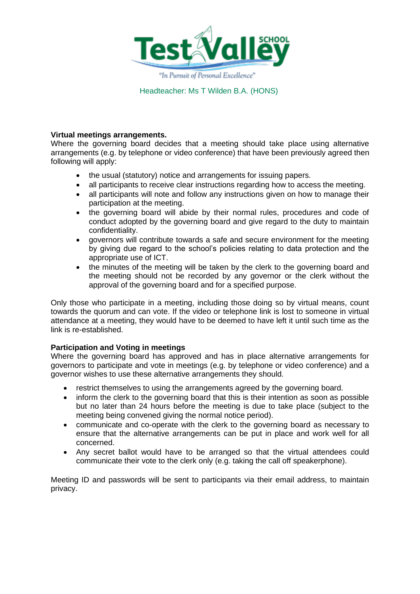

#### **Virtual meetings arrangements.**

Where the governing board decides that a meeting should take place using alternative arrangements (e.g. by telephone or video conference) that have been previously agreed then following will apply:

- the usual (statutory) notice and arrangements for issuing papers.
- all participants to receive clear instructions regarding how to access the meeting.
- all participants will note and follow any instructions given on how to manage their participation at the meeting.
- the governing board will abide by their normal rules, procedures and code of conduct adopted by the governing board and give regard to the duty to maintain confidentiality.
- governors will contribute towards a safe and secure environment for the meeting by giving due regard to the school's policies relating to data protection and the appropriate use of ICT.
- the minutes of the meeting will be taken by the clerk to the governing board and the meeting should not be recorded by any governor or the clerk without the approval of the governing board and for a specified purpose.

Only those who participate in a meeting, including those doing so by virtual means, count towards the quorum and can vote. If the video or telephone link is lost to someone in virtual attendance at a meeting, they would have to be deemed to have left it until such time as the link is re-established.

### **Participation and Voting in meetings**

Where the governing board has approved and has in place alternative arrangements for governors to participate and vote in meetings (e.g. by telephone or video conference) and a governor wishes to use these alternative arrangements they should.

- restrict themselves to using the arrangements agreed by the governing board.
- inform the clerk to the governing board that this is their intention as soon as possible but no later than 24 hours before the meeting is due to take place (subject to the meeting being convened giving the normal notice period).
- communicate and co-operate with the clerk to the governing board as necessary to ensure that the alternative arrangements can be put in place and work well for all concerned.
- Any secret ballot would have to be arranged so that the virtual attendees could communicate their vote to the clerk only (e.g. taking the call off speakerphone).

Meeting ID and passwords will be sent to participants via their email address, to maintain privacy.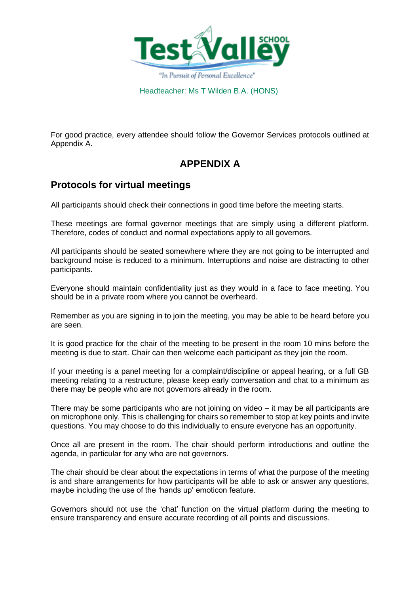

For good practice, every attendee should follow the Governor Services protocols outlined at Appendix A.

# **APPENDIX A**

## **Protocols for virtual meetings**

All participants should check their connections in good time before the meeting starts.

These meetings are formal governor meetings that are simply using a different platform. Therefore, codes of conduct and normal expectations apply to all governors.

All participants should be seated somewhere where they are not going to be interrupted and background noise is reduced to a minimum. Interruptions and noise are distracting to other participants.

Everyone should maintain confidentiality just as they would in a face to face meeting. You should be in a private room where you cannot be overheard.

Remember as you are signing in to join the meeting, you may be able to be heard before you are seen.

It is good practice for the chair of the meeting to be present in the room 10 mins before the meeting is due to start. Chair can then welcome each participant as they join the room.

If your meeting is a panel meeting for a complaint/discipline or appeal hearing, or a full GB meeting relating to a restructure, please keep early conversation and chat to a minimum as there may be people who are not governors already in the room.

There may be some participants who are not joining on video – it may be all participants are on microphone only. This is challenging for chairs so remember to stop at key points and invite questions. You may choose to do this individually to ensure everyone has an opportunity.

Once all are present in the room. The chair should perform introductions and outline the agenda, in particular for any who are not governors.

The chair should be clear about the expectations in terms of what the purpose of the meeting is and share arrangements for how participants will be able to ask or answer any questions, maybe including the use of the 'hands up' emoticon feature.

Governors should not use the 'chat' function on the virtual platform during the meeting to ensure transparency and ensure accurate recording of all points and discussions.